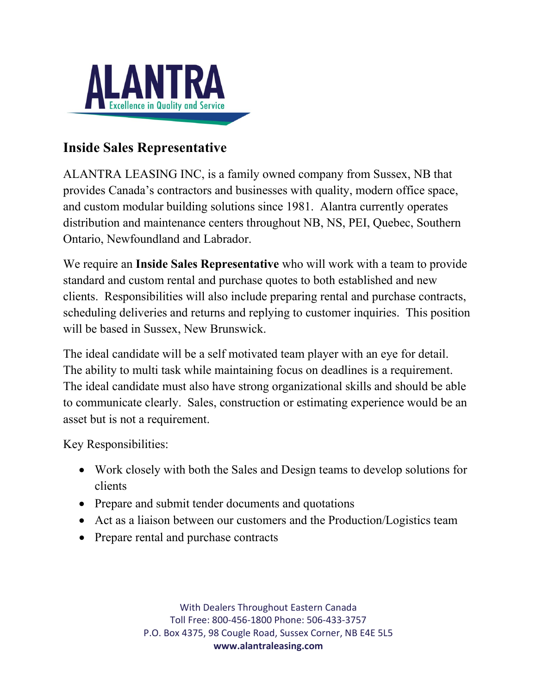

## **Inside Sales Representative**

ALANTRA LEASING INC, is a family owned company from Sussex, NB that provides Canada's contractors and businesses with quality, modern office space, and custom modular building solutions since 1981. Alantra currently operates distribution and maintenance centers throughout NB, NS, PEI, Quebec, Southern Ontario, Newfoundland and Labrador.

We require an **Inside Sales Representative** who will work with a team to provide standard and custom rental and purchase quotes to both established and new clients. Responsibilities will also include preparing rental and purchase contracts, scheduling deliveries and returns and replying to customer inquiries. This position will be based in Sussex, New Brunswick.

The ideal candidate will be a self motivated team player with an eye for detail. The ability to multi task while maintaining focus on deadlines is a requirement. The ideal candidate must also have strong organizational skills and should be able to communicate clearly. Sales, construction or estimating experience would be an asset but is not a requirement.

Key Responsibilities:

- Work closely with both the Sales and Design teams to develop solutions for clients
- Prepare and submit tender documents and quotations
- Act as a liaison between our customers and the Production/Logistics team
- Prepare rental and purchase contracts

With Dealers Throughout Eastern Canada Toll Free: 800-456-1800 Phone: 506-433-3757 P.O. Box 4375, 98 Cougle Road, Sussex Corner, NB E4E 5L5 **www.alantraleasing.com**